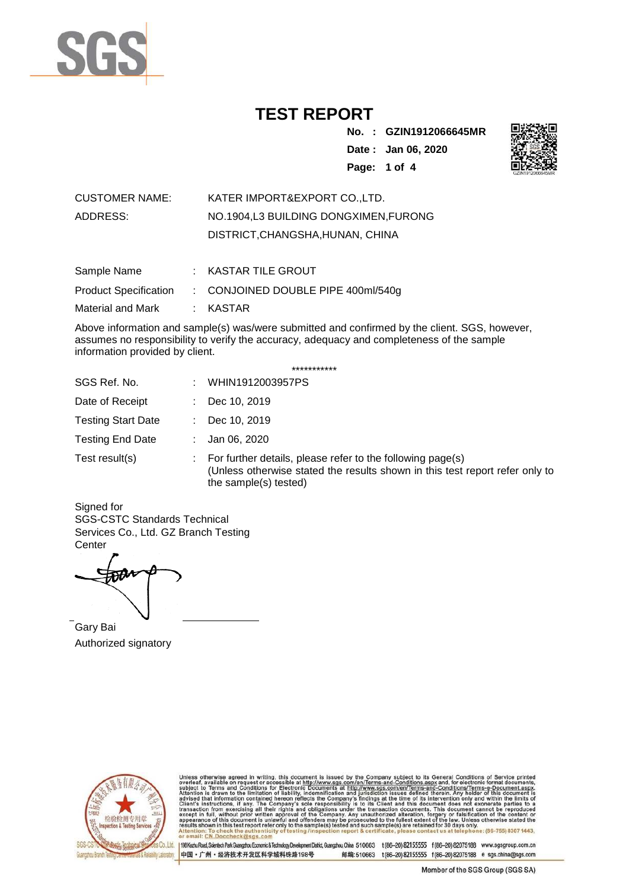

**No. : GZIN1912066645MR Date : Jan 06, 2020 Page: 1 of 4** 



| <b>CUSTOMER NAME:</b> | KATER IMPORT&EXPORT CO. LTD.         |
|-----------------------|--------------------------------------|
| ADDRESS:              | NO.1904.L3 BUILDING DONGXIMEN.FURONG |
|                       | DISTRICT, CHANGSHA, HUNAN, CHINA     |

| Sample Name                  | $:$ KASTAR TILE GROUT                         |
|------------------------------|-----------------------------------------------|
| <b>Product Specification</b> | $\therefore$ CONJOINED DOUBLE PIPE 400ml/540g |
| Material and Mark            | : KASTAR                                      |

Above information and sample(s) was/were submitted and confirmed by the client. SGS, however, assumes no responsibility to verify the accuracy, adequacy and completeness of the sample information provided by client.

| *********** |  |
|-------------|--|
|-------------|--|

| SGS Ref. No.              | WHIN1912003957PS                                                                                                                                                    |
|---------------------------|---------------------------------------------------------------------------------------------------------------------------------------------------------------------|
| Date of Receipt           | Dec 10, 2019                                                                                                                                                        |
| <b>Testing Start Date</b> | Dec 10, 2019                                                                                                                                                        |
| <b>Testing End Date</b>   | Jan 06, 2020                                                                                                                                                        |
| Test result(s)            | For further details, please refer to the following page(s)<br>(Unless otherwise stated the results shown in this test report refer only to<br>the sample(s) tested) |

Signed for SGS-CSTC Standards Technical Services Co., Ltd. GZ Branch Testing **Center** 

Gary Bai Authorized signatory



Unless otherwise agreed in writing, this document is issued by the Company subject to its General Conditions of Service printed overleaf, available on request or accessible at http://www.sgs.com/en/Terms-and-Conditions.as

Co.,Ltd. | 198 Kezhu Road, Scientech Park Guangzhou Economic & Technology Development District, Guangzhou, China 510663 t (86-20) 82155555 f (86-20) 82075188 www.sgsgroup.com.cn 中国·广州·经济技术开发区科学城科珠路198号 邮编:510663 t(86-20) 82155555 f(86-20) 82075188 e sgs.china@sgs.com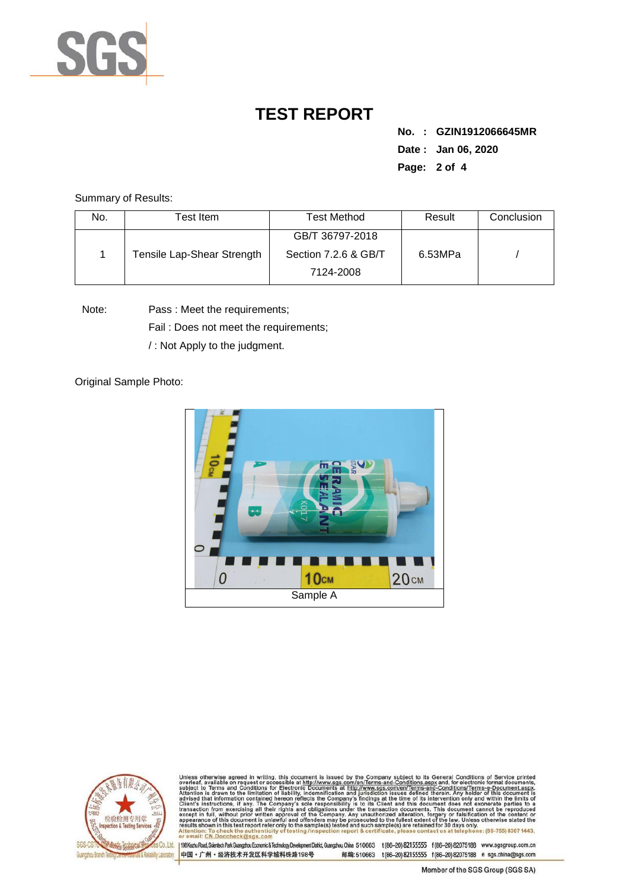

**No. : GZIN1912066645MR Date : Jan 06, 2020 Page: 2 of 4** 

Summary of Results:

| No. | Test Item                  | Test Method          | Result  | Conclusion |
|-----|----------------------------|----------------------|---------|------------|
|     |                            | GB/T 36797-2018      |         |            |
|     | Tensile Lap-Shear Strength | Section 7.2.6 & GB/T | 6.53MPa |            |
|     |                            | 7124-2008            |         |            |

Note: Pass : Meet the requirements;

Fail : Does not meet the requirements;

/ : Not Apply to the judgment.

Original Sample Photo:





Unless otherwise agreed in writing, this document is issued by the Company subject to its General Conditions of Service printed overleaf, available on request or accessible at http://www.sgs.com/en/Terms-and-Conditions.asp CN.Doccheck@sgs.co

198 Kezhu Road, Scientech Park Guangzhou Economic & Technology Development District, Guangzhou, China 510663 t (86-20) 82155555 f (86-20) 82075188 www.sgsgroup.com.cn 中国·广州·经济技术开发区科学城科珠路198号 邮编:510663 t(86-20) 82155555 f(86-20) 82075188 e sgs.china@sgs.com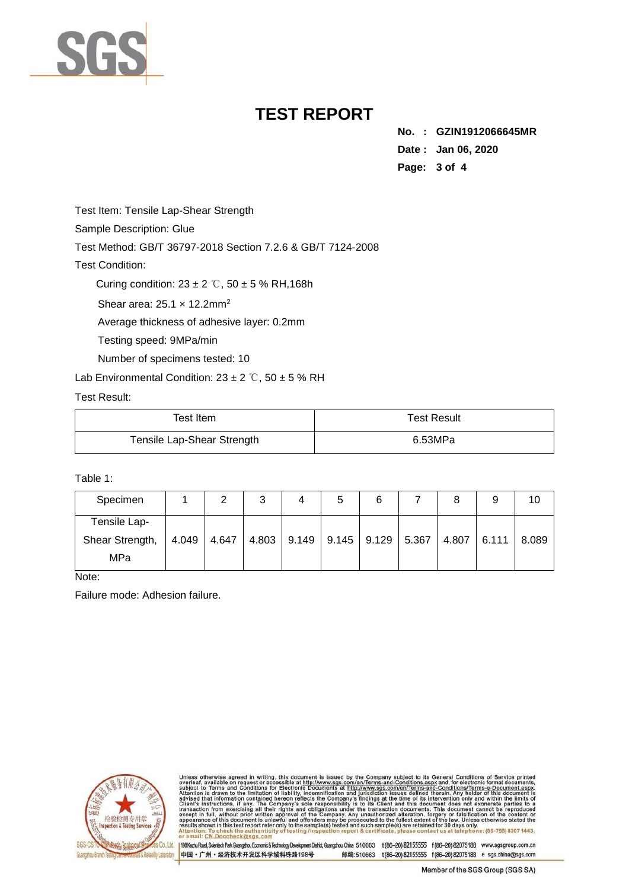

**No. : GZIN1912066645MR Date : Jan 06, 2020 Page: 3 of 4** 

Test Item: Tensile Lap-Shear Strength

Sample Description: Glue

Test Method: GB/T 36797-2018 Section 7.2.6 & GB/T 7124-2008

Test Condition:

Curing condition:  $23 \pm 2$  °C,  $50 \pm 5$  % RH, 168h

Shear area: 25.1 x 12.2mm<sup>2</sup>

Average thickness of adhesive layer: 0.2mm

Testing speed: 9MPa/min

Number of specimens tested: 10

Lab Environmental Condition:  $23 \pm 2$  °C,  $50 \pm 5$  % RH

#### Test Result:

| Test Item                  | <b>Test Result</b> |
|----------------------------|--------------------|
| Tensile Lap-Shear Strength | 6.53MPa            |

#### Table 1:

| Specimen                               | 2             | 3 | 5 | 6                                     | 8     | 9     | 10    |
|----------------------------------------|---------------|---|---|---------------------------------------|-------|-------|-------|
| Tensile Lap-<br>Shear Strength,<br>MPa | $4.049$ 4.647 |   |   | 4.803   9.149   9.145   9.129   5.367 | 4.807 | 6.111 | 8.089 |

Note:

Failure mode: Adhesion failure.



Unless otherwise agreed in writing, this document is issued by the Company subject to its General Conditions of Service printed overteaf, available on request or accessible at http://www.sgs.com/en/Terms-and-Conditions.asp : To check the authentic<br>CN.Doccheck@sgs.com

198 Kezhu Road, Scientech Park Guangzhou Economic & Technology Development District, Guangzhou, China 510663 t (86-20) 82155555 f (86-20) 82075188 www.sgsgroup.com.cn 中国·广州·经济技术开发区科学城科珠路198号 邮编:510663 t(86-20) 82155555 f(86-20) 82075188 e sgs.china@sgs.com